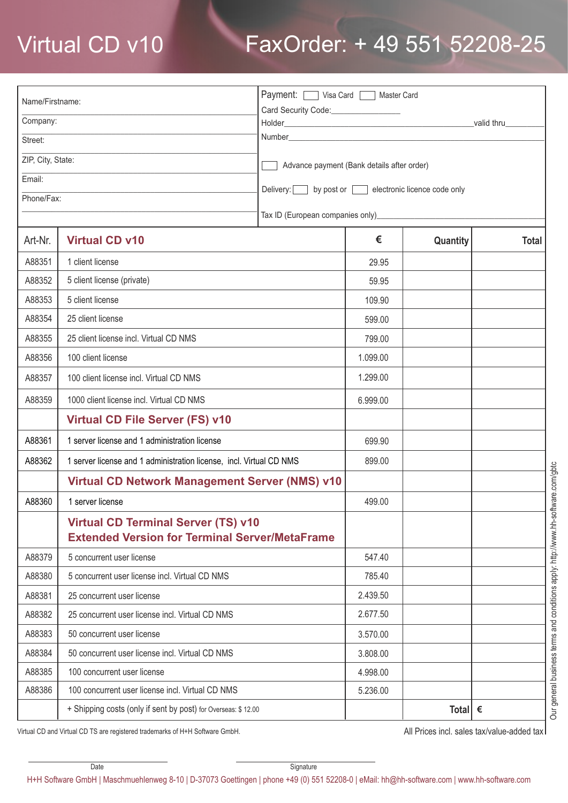## Virtual CD v10 FaxOrder: + 49 551 52208-25

| Name/Firstname:   |                                                                                                     | Payment: Visa Card   Master Card                  |          |                  |              |  |
|-------------------|-----------------------------------------------------------------------------------------------------|---------------------------------------------------|----------|------------------|--------------|--|
| Company:          |                                                                                                     | Card Security Code:________________               |          |                  |              |  |
| Street:           |                                                                                                     |                                                   |          |                  |              |  |
| ZIP, City, State: |                                                                                                     |                                                   |          |                  |              |  |
| Email:            |                                                                                                     | Advance payment (Bank details after order)        |          |                  |              |  |
| Phone/Fax:        |                                                                                                     | Delivery: by post or electronic licence code only |          |                  |              |  |
|                   |                                                                                                     |                                                   |          |                  |              |  |
| Art-Nr.           | <b>Virtual CD v10</b>                                                                               |                                                   | €        | Quantity         | <b>Total</b> |  |
| A88351            | 1 client license                                                                                    |                                                   | 29.95    |                  |              |  |
| A88352            | 5 client license (private)                                                                          |                                                   | 59.95    |                  |              |  |
| A88353            | 5 client license                                                                                    |                                                   | 109.90   |                  |              |  |
| A88354            | 25 client license                                                                                   |                                                   | 599.00   |                  |              |  |
| A88355            | 25 client license incl. Virtual CD NMS                                                              |                                                   | 799.00   |                  |              |  |
| A88356            | 100 client license                                                                                  |                                                   | 1.099.00 |                  |              |  |
| A88357            | 100 client license incl. Virtual CD NMS                                                             |                                                   | 1.299.00 |                  |              |  |
| A88359            | 1000 client license incl. Virtual CD NMS                                                            |                                                   | 6.999.00 |                  |              |  |
|                   | <b>Virtual CD File Server (FS) v10</b>                                                              |                                                   |          |                  |              |  |
| A88361            | 1 server license and 1 administration license                                                       |                                                   | 699.90   |                  |              |  |
| A88362            | 1 server license and 1 administration license, incl. Virtual CD NMS                                 |                                                   | 899.00   |                  |              |  |
|                   | Virtual CD Network Management Server (NMS) v10                                                      |                                                   |          |                  |              |  |
| A88360            | 1 server license                                                                                    |                                                   | 499.00   |                  |              |  |
|                   | <b>Virtual CD Terminal Server (TS) v10</b><br><b>Extended Version for Terminal Server/MetaFrame</b> |                                                   |          |                  |              |  |
| A88379            | 5 concurrent user license                                                                           |                                                   | 547.40   |                  |              |  |
| A88380            | 5 concurrent user license incl. Virtual CD NMS                                                      |                                                   | 785.40   |                  |              |  |
| A88381            | 25 concurrent user license                                                                          |                                                   | 2.439.50 |                  |              |  |
| A88382            | 25 concurrent user license incl. Virtual CD NMS                                                     |                                                   | 2.677.50 |                  |              |  |
| A88383            | 50 concurrent user license                                                                          |                                                   | 3.570.00 |                  |              |  |
| A88384            | 50 concurrent user license incl. Virtual CD NMS                                                     |                                                   | 3.808.00 |                  |              |  |
| A88385            | 100 concurrent user license                                                                         |                                                   | 4.998.00 |                  |              |  |
| A88386            | 100 concurrent user license incl. Virtual CD NMS                                                    |                                                   | 5.236.00 |                  |              |  |
|                   | + Shipping costs (only if sent by post) for Overseas: \$12.00                                       |                                                   |          | Total $\epsilon$ |              |  |

Virtual CD and Virtual CD TS are registered trademarks of H+H Software GmbH.

All Prices incl. sales tax/value-added tax